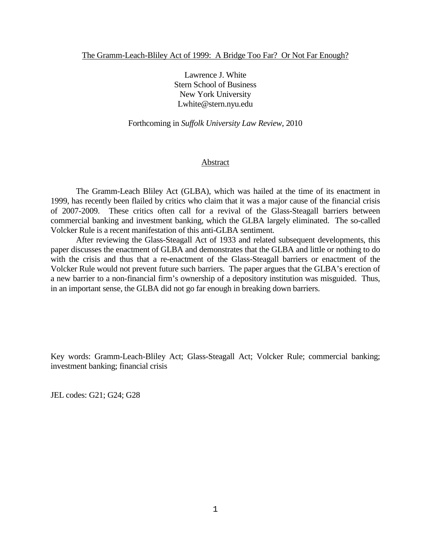Lawrence J. White Stern School of Business New York University Lwhite@stern.nyu.edu

Forthcoming in *Suffolk University Law Review*, 2010

#### Abstract

The Gramm-Leach Bliley Act (GLBA), which was hailed at the time of its enactment in 1999, has recently been flailed by critics who claim that it was a major cause of the financial crisis of 2007-2009. These critics often call for a revival of the Glass-Steagall barriers between commercial banking and investment banking, which the GLBA largely eliminated. The so-called Volcker Rule is a recent manifestation of this anti-GLBA sentiment.

After reviewing the Glass-Steagall Act of 1933 and related subsequent developments, this paper discusses the enactment of GLBA and demonstrates that the GLBA and little or nothing to do with the crisis and thus that a re-enactment of the Glass-Steagall barriers or enactment of the Volcker Rule would not prevent future such barriers. The paper argues that the GLBA's erection of a new barrier to a non-financial firm's ownership of a depository institution was misguided. Thus, in an important sense, the GLBA did not go far enough in breaking down barriers.

Key words: Gramm-Leach-Bliley Act; Glass-Steagall Act; Volcker Rule; commercial banking; investment banking; financial crisis

JEL codes: G21; G24; G28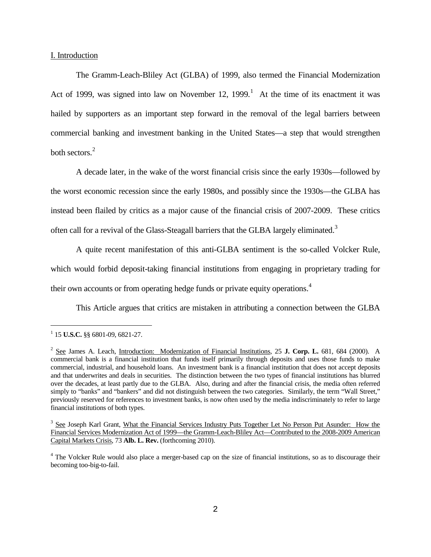## I. Introduction

The Gramm-Leach-Bliley Act (GLBA) of 1999, also termed the Financial Modernization Act of [1](#page-1-0)999, was signed into law on November 12, 1999.<sup>1</sup> At the time of its enactment it was hailed by supporters as an important step forward in the removal of the legal barriers between commercial banking and investment banking in the United States—a step that would strengthen both sectors. [2](#page-1-1)

<span id="page-1-4"></span>A decade later, in the wake of the worst financial crisis since the early 1930s—followed by the worst economic recession since the early 1980s, and possibly since the 1930s—the GLBA has instead been flailed by critics as a major cause of the financial crisis of 2007-2009. These critics often call for a revival of the Glass-Steagall barriers that the GLBA largely eliminated.<sup>[3](#page-1-2)</sup>

A quite recent manifestation of this anti-GLBA sentiment is the so-called Volcker Rule, which would forbid deposit-taking financial institutions from engaging in proprietary trading for their own accounts or from operating hedge funds or private equity operations.<sup>[4](#page-1-3)</sup>

This Article argues that critics are mistaken in attributing a connection between the GLBA

<span id="page-1-0"></span><sup>1</sup> 15 **U.S.C.** §§ 6801-09, 6821-27.

<span id="page-1-1"></span><sup>2</sup> See James A. Leach, Introduction: Modernization of Financial Institutions, 25 **J. Corp. L.** 681, 684 (2000). A commercial bank is a financial institution that funds itself primarily through deposits and uses those funds to make commercial, industrial, and household loans. An investment bank is a financial institution that does not accept deposits and that underwrites and deals in securities. The distinction between the two types of financial institutions has blurred over the decades, at least partly due to the GLBA. Also, during and after the financial crisis, the media often referred simply to "banks" and "bankers" and did not distinguish between the two categories. Similarly, the term "Wall Street," previously reserved for references to investment banks, is now often used by the media indiscriminately to refer to large financial institutions of both types.

<span id="page-1-2"></span><sup>&</sup>lt;sup>3</sup> See Joseph Karl Grant, What the Financial Services Industry Puts Together Let No Person Put Asunder: How the Financial Services Modernization Act of 1999—the Gramm-Leach-Bliley Act—Contributed to the 2008-2009 American Capital Markets Crisis, 73 **Alb. L. Rev.** (forthcoming 2010).

<span id="page-1-3"></span><sup>&</sup>lt;sup>4</sup> The Volcker Rule would also place a merger-based cap on the size of financial institutions, so as to discourage their becoming too-big-to-fail.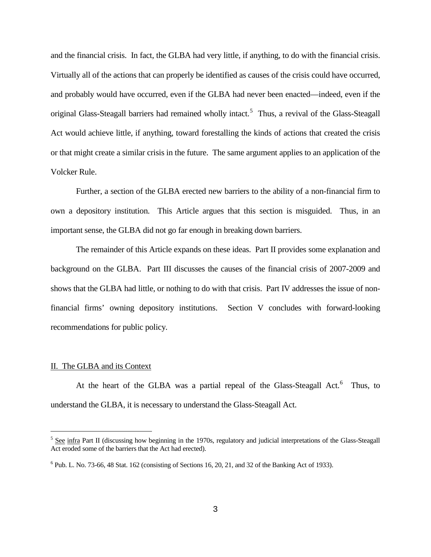and the financial crisis. In fact, the GLBA had very little, if anything, to do with the financial crisis. Virtually all of the actions that can properly be identified as causes of the crisis could have occurred, and probably would have occurred, even if the GLBA had never been enacted—indeed, even if the original Glass-Steagall barriers had remained wholly intact.<sup>[5](#page-2-0)</sup> Thus, a revival of the Glass-Steagall Act would achieve little, if anything, toward forestalling the kinds of actions that created the crisis or that might create a similar crisis in the future. The same argument applies to an application of the Volcker Rule.

Further, a section of the GLBA erected new barriers to the ability of a non-financial firm to own a depository institution. This Article argues that this section is misguided. Thus, in an important sense, the GLBA did not go far enough in breaking down barriers.

The remainder of this Article expands on these ideas. Part II provides some explanation and background on the GLBA. Part III discusses the causes of the financial crisis of 2007-2009 and shows that the GLBA had little, or nothing to do with that crisis. Part IV addresses the issue of nonfinancial firms' owning depository institutions. Section V concludes with forward-looking recommendations for public policy.

#### II. The GLBA and its Context

÷,

At the heart of the GLBA was a partial repeal of the Glass-Steagall Act.<sup>[6](#page-2-1)</sup> Thus, to understand the GLBA, it is necessary to understand the Glass-Steagall Act.

<span id="page-2-0"></span> $<sup>5</sup>$  See infra Part II (discussing how beginning in the 1970s, regulatory and judicial interpretations of the Glass-Steagall</sup> Act eroded some of the barriers that the Act had erected).

<span id="page-2-1"></span> $6$  Pub. L. No. 73-66, 48 Stat. 162 (consisting of Sections 16, 20, 21, and 32 of the Banking Act of 1933).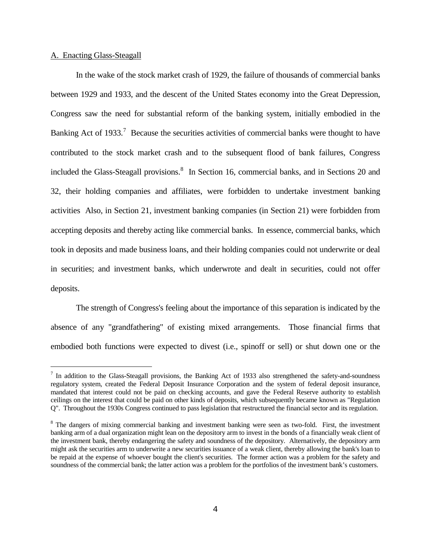## A. Enacting Glass-Steagall

i<br>I

In the wake of the stock market crash of 1929, the failure of thousands of commercial banks between 1929 and 1933, and the descent of the United States economy into the Great Depression, Congress saw the need for substantial reform of the banking system, initially embodied in the Banking Act of 1933.<sup>[7](#page-3-0)</sup> Because the securities activities of commercial banks were thought to have contributed to the stock market crash and to the subsequent flood of bank failures, Congress included the Glass-Steagall provisions.<sup>[8](#page-3-1)</sup> In Section 16, commercial banks, and in Sections 20 and 32, their holding companies and affiliates, were forbidden to undertake investment banking activities Also, in Section 21, investment banking companies (in Section 21) were forbidden from accepting deposits and thereby acting like commercial banks. In essence, commercial banks, which took in deposits and made business loans, and their holding companies could not underwrite or deal in securities; and investment banks, which underwrote and dealt in securities, could not offer deposits.

The strength of Congress's feeling about the importance of this separation is indicated by the absence of any "grandfathering" of existing mixed arrangements. Those financial firms that embodied both functions were expected to divest (i.e., spinoff or sell) or shut down one or the

<span id="page-3-0"></span> $<sup>7</sup>$  In addition to the Glass-Steagall provisions, the Banking Act of 1933 also strengthened the safety-and-soundness</sup> regulatory system, created the Federal Deposit Insurance Corporation and the system of federal deposit insurance, mandated that interest could not be paid on checking accounts, and gave the Federal Reserve authority to establish ceilings on the interest that could be paid on other kinds of deposits, which subsequently became known as "Regulation Q". Throughout the 1930s Congress continued to pass legislation that restructured the financial sector and its regulation.

<span id="page-3-1"></span><sup>&</sup>lt;sup>8</sup> The dangers of mixing commercial banking and investment banking were seen as two-fold. First, the investment banking arm of a dual organization might lean on the depository arm to invest in the bonds of a financially weak client of the investment bank, thereby endangering the safety and soundness of the depository. Alternatively, the depository arm might ask the securities arm to underwrite a new securities issuance of a weak client, thereby allowing the bank's loan to be repaid at the expense of whoever bought the client's securities. The former action was a problem for the safety and soundness of the commercial bank; the latter action was a problem for the portfolios of the investment bank's customers.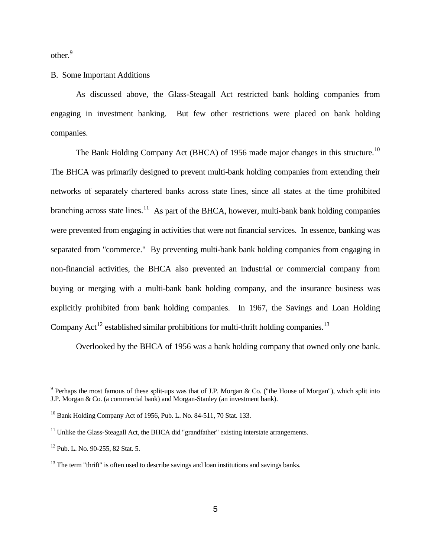other.<sup>[9](#page-4-0)</sup>

# B. Some Important Additions

As discussed above, the Glass-Steagall Act restricted bank holding companies from engaging in investment banking. But few other restrictions were placed on bank holding companies.

The Bank Holding Company Act (BHCA) of 1956 made major changes in this structure.<sup>[10](#page-4-1)</sup> The BHCA was primarily designed to prevent multi-bank holding companies from extending their networks of separately chartered banks across state lines, since all states at the time prohibited branching across state lines.<sup>[11](#page-4-2)</sup> As part of the BHCA, however, multi-bank bank holding companies were prevented from engaging in activities that were not financial services. In essence, banking was separated from "commerce." By preventing multi-bank bank holding companies from engaging in non-financial activities, the BHCA also prevented an industrial or commercial company from buying or merging with a multi-bank bank holding company, and the insurance business was explicitly prohibited from bank holding companies. In 1967, the Savings and Loan Holding Company Act<sup>[12](#page-4-3)</sup> established similar prohibitions for multi-thrift holding companies.<sup>[13](#page-4-4)</sup>

Overlooked by the BHCA of 1956 was a bank holding company that owned only one bank.

<span id="page-4-0"></span> $9$  Perhaps the most famous of these split-ups was that of J.P. Morgan & Co. ("the House of Morgan"), which split into J.P. Morgan & Co. (a commercial bank) and Morgan-Stanley (an investment bank).

<span id="page-4-1"></span> $10$  Bank Holding Company Act of 1956, Pub. L. No. 84-511, 70 Stat. 133.

<span id="page-4-2"></span> $11$  Unlike the Glass-Steagall Act, the BHCA did "grandfather" existing interstate arrangements.

<span id="page-4-3"></span><sup>&</sup>lt;sup>12</sup> Pub. L. No. 90-255, 82 Stat. 5.

<span id="page-4-4"></span> $13$  The term "thrift" is often used to describe savings and loan institutions and savings banks.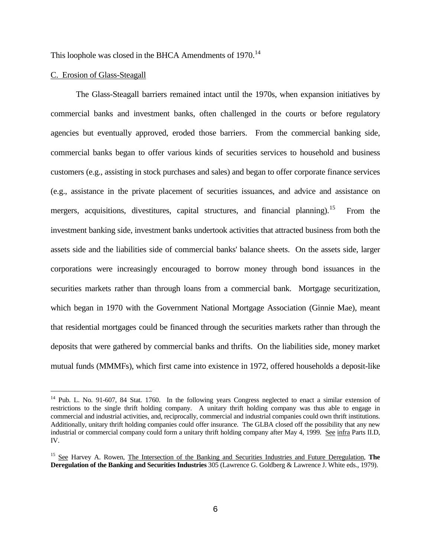<span id="page-5-3"></span>This loophole was closed in the BHCA Amendments of  $1970$ .<sup>[14](#page-5-0)</sup>

#### C. Erosion of Glass-Steagall

÷,

<span id="page-5-2"></span>The Glass-Steagall barriers remained intact until the 1970s, when expansion initiatives by commercial banks and investment banks, often challenged in the courts or before regulatory agencies but eventually approved, eroded those barriers. From the commercial banking side, commercial banks began to offer various kinds of securities services to household and business customers (e.g., assisting in stock purchases and sales) and began to offer corporate finance services (e.g., assistance in the private placement of securities issuances, and advice and assistance on mergers, acquisitions, divestitures, capital structures, and financial planning).<sup>[15](#page-5-1)</sup> From the investment banking side, investment banks undertook activities that attracted business from both the assets side and the liabilities side of commercial banks' balance sheets. On the assets side, larger corporations were increasingly encouraged to borrow money through bond issuances in the securities markets rather than through loans from a commercial bank. Mortgage securitization, which began in 1970 with the Government National Mortgage Association (Ginnie Mae), meant that residential mortgages could be financed through the securities markets rather than through the deposits that were gathered by commercial banks and thrifts. On the liabilities side, money market mutual funds (MMMFs), which first came into existence in 1972, offered households a deposit-like

<span id="page-5-0"></span><sup>&</sup>lt;sup>14</sup> Pub. L. No. 91-607, 84 Stat. 1760. In the following years Congress neglected to enact a similar extension of restrictions to the single thrift holding company. A unitary thrift holding company was thus able to engage in commercial and industrial activities, and, reciprocally, commercial and industrial companies could own thrift institutions. Additionally, unitary thrift holding companies could offer insurance. The GLBA closed off the possibility that any new industrial or commercial company could form a unitary thrift holding company after May 4, 1999. See infra Parts II.D, IV.

<span id="page-5-1"></span><sup>15</sup> See Harvey A. Rowen, The Intersection of the Banking and Securities Industries and Future Deregulation, **The Deregulation of the Banking and Securities Industries** 305 (Lawrence G. Goldberg & Lawrence J. White eds., 1979).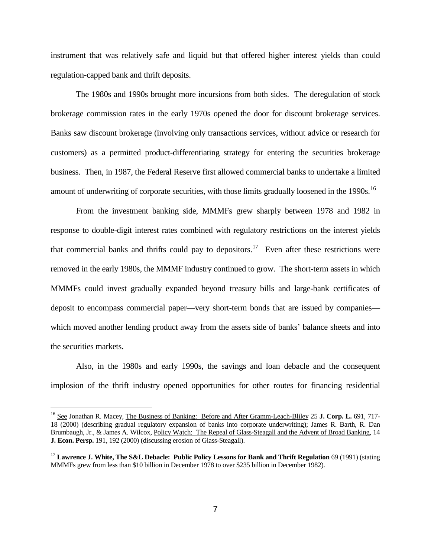instrument that was relatively safe and liquid but that offered higher interest yields than could regulation-capped bank and thrift deposits.

The 1980s and 1990s brought more incursions from both sides. The deregulation of stock brokerage commission rates in the early 1970s opened the door for discount brokerage services. Banks saw discount brokerage (involving only transactions services, without advice or research for customers) as a permitted product-differentiating strategy for entering the securities brokerage business. Then, in 1987, the Federal Reserve first allowed commercial banks to undertake a limited amount of underwriting of corporate securities, with those limits gradually loosened in the 1990s.<sup>[16](#page-6-0)</sup>

<span id="page-6-2"></span>From the investment banking side, MMMFs grew sharply between 1978 and 1982 in response to double-digit interest rates combined with regulatory restrictions on the interest yields that commercial banks and thrifts could pay to depositors.<sup>[17](#page-6-1)</sup> Even after these restrictions were removed in the early 1980s, the MMMF industry continued to grow. The short-term assets in which MMMFs could invest gradually expanded beyond treasury bills and large-bank certificates of deposit to encompass commercial paper—very short-term bonds that are issued by companies which moved another lending product away from the assets side of banks' balance sheets and into the securities markets.

Also, in the 1980s and early 1990s, the savings and loan debacle and the consequent implosion of the thrift industry opened opportunities for other routes for financing residential

<span id="page-6-0"></span><sup>&</sup>lt;sup>16</sup> See Jonathan R. Macey, The Business of Banking: Before and After Gramm-Leach-Bliley 25 J. Corp. L. 691, 717-18 (2000) (describing gradual regulatory expansion of banks into corporate underwriting); James R. Barth, R. Dan Brumbaugh, Jr., & James A. Wilcox, Policy Watch: The Repeal of Glass-Steagall and the Advent of Broad Banking, 14 **J. Econ. Persp.** 191, 192 (2000) (discussing erosion of Glass-Steagall).

<span id="page-6-1"></span><sup>&</sup>lt;sup>17</sup> Lawrence J. White, The S&L Debacle: Public Policy Lessons for Bank and Thrift Regulation 69 (1991) (stating MMMFs grew from less than \$10 billion in December 1978 to over \$235 billion in December 1982).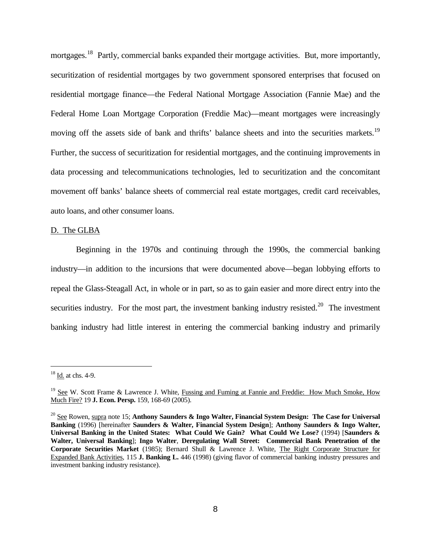<span id="page-7-4"></span>mortgages.<sup>[18](#page-7-0)</sup> Partly, commercial banks expanded their mortgage activities. But, more importantly, securitization of residential mortgages by two government sponsored enterprises that focused on residential mortgage finance—the Federal National Mortgage Association (Fannie Mae) and the Federal Home Loan Mortgage Corporation (Freddie Mac)—meant mortgages were increasingly moving off the assets side of bank and thrifts' balance sheets and into the securities markets.<sup>[19](#page-7-1)</sup> Further, the success of securitization for residential mortgages, and the continuing improvements in data processing and telecommunications technologies, led to securitization and the concomitant movement off banks' balance sheets of commercial real estate mortgages, credit card receivables, auto loans, and other consumer loans.

#### D. The GLBA

<span id="page-7-3"></span>Beginning in the 1970s and continuing through the 1990s, the commercial banking industry—in addition to the incursions that were documented above—began lobbying efforts to repeal the Glass-Steagall Act, in whole or in part, so as to gain easier and more direct entry into the securities industry. For the most part, the investment banking industry resisted.<sup>[20](#page-7-2)</sup> The investment banking industry had little interest in entering the commercial banking industry and primarily

<span id="page-7-0"></span> $18 \underline{Id}$  at chs. 4-9.

<span id="page-7-1"></span><sup>&</sup>lt;sup>19</sup> See W. Scott Frame & Lawrence J. White, Fussing and Fuming at Fannie and Freddie: How Much Smoke, How Much Fire? 19 **J. Econ. Persp.** 159, 168-69 (2005).

<span id="page-7-2"></span><sup>20</sup> See Rowen, supra note [15;](#page-5-2) **Anthony Saunders & Ingo Walter, Financial System Design: The Case for Universal Banking** (1996) [hereinafter **Saunders & Walter, Financial System Design**]; **Anthony Saunders & Ingo Walter, Universal Banking in the United States: What Could We Gain? What Could We Lose?** (1994) [**Saunders & Walter, Universal Banking**]; **Ingo Walter**, **Deregulating Wall Street: Commercial Bank Penetration of the Corporate Securities Market** (1985); Bernard Shull & Lawrence J. White, The Right Corporate Structure for Expanded Bank Activities, 115 **J. Banking L.** 446 (1998) (giving flavor of commercial banking industry pressures and investment banking industry resistance).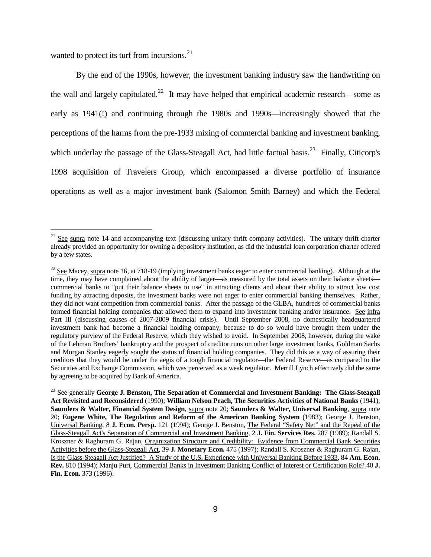wanted to protect its turf from incursions. $^{21}$  $^{21}$  $^{21}$ 

i<br>I

By the end of the 1990s, however, the investment banking industry saw the handwriting on the wall and largely capitulated.<sup>22</sup> It may have helped that empirical academic research—some as early as 1941(!) and continuing through the 1980s and 1990s—increasingly showed that the perceptions of the harms from the pre-1933 mixing of commercial banking and investment banking, which underlay the passage of the Glass-Steagall Act, had little factual basis.<sup>[23](#page-8-2)</sup> Finally, Citicorp's 1998 acquisition of Travelers Group, which encompassed a diverse portfolio of insurance operations as well as a major investment bank (Salomon Smith Barney) and which the Federal

<span id="page-8-0"></span> $21$  See supra note [14](#page-5-3) and accompanying text (discussing unitary thrift company activities). The unitary thrift charter already provided an opportunity for owning a depository institution, as did the industrial loan corporation charter offered by a few states.

<span id="page-8-1"></span><sup>&</sup>lt;sup>22</sup> See Macey, supra note [16,](#page-6-2) at 718-19 (implying investment banks eager to enter commercial banking). Although at the time, they may have complained about the ability of larger—as measured by the total assets on their balance sheets commercial banks to "put their balance sheets to use" in attracting clients and about their ability to attract low cost funding by attracting deposits, the investment banks were not eager to enter commercial banking themselves. Rather, they did not want competition from commercial banks. After the passage of the GLBA, hundreds of commercial banks formed financial holding companies that allowed them to expand into investment banking and/or insurance. See infra Part III (discussing causes of 2007-2009 financial crisis). Until September 2008, no domestically headquartered investment bank had become a financial holding company, because to do so would have brought them under the regulatory purview of the Federal Reserve, which they wished to avoid. In September 2008, however, during the wake of the Lehman Brothers' bankruptcy and the prospect of creditor runs on other large investment banks, Goldman Sachs and Morgan Stanley eagerly sought the status of financial holding companies. They did this as a way of assuring their creditors that they would be under the aegis of a tough financial regulator—the Federal Reserve—as compared to the Securities and Exchange Commission, which was perceived as a weak regulator. Merrill Lynch effectively did the same by agreeing to be acquired by Bank of America.

<span id="page-8-2"></span><sup>&</sup>lt;sup>23</sup> See generally **George J. Benston, The Separation of Commercial and Investment Banking: The Glass-Steagall Act Revisited and Reconsidered** (1990); **William Nelson Peach, The Securities Activities of National Banks** (1941); **Saunders & Walter, Financial System Design**, supra note [20;](#page-7-3) **Saunders & Walter, Universal Banking**, supra note [20;](#page-7-3) **Eugene White, The Regulation and Reform of the American Banking System** (1983); George J. Benston, Universal Banking, 8 **J. Econ. Persp.** 121 (1994); George J. Benston, The Federal "Safety Net" and the Repeal of the Glass-Steagall Act's Separation of Commercial and Investment Banking, 2 **J. Fin. Services Res.** 287 (1989); Randall S. Kroszner & Raghuram G. Rajan, Organization Structure and Credibility: Evidence from Commercial Bank Securities Activities before the Glass-Steagall Act, 39 **J. Monetary Econ.** 475 (1997); Randall S. Kroszner & Raghuram G. Rajan, Is the Glass-Steagall Act Justified? A Study of the U.S. Experience with Universal Banking Before 1933, 84 **Am. Econ. Rev.** 810 (1994); Manju Puri, Commercial Banks in Investment Banking Conflict of Interest or Certification Role? 40 **J. Fin. Econ.** 373 (1996).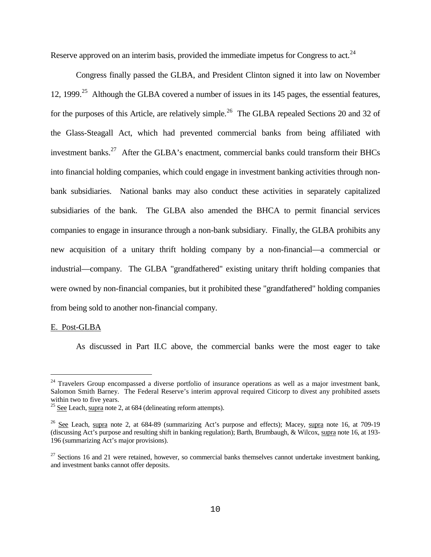Reserve approved on an interim basis, provided the immediate impetus for Congress to act.<sup>[24](#page-9-0)</sup>

Congress finally passed the GLBA, and President Clinton signed it into law on November 12, 1999.<sup>25</sup> Although the GLBA covered a number of issues in its 145 pages, the essential features, for the purposes of this Article, are relatively simple.<sup>[26](#page-9-2)</sup> The GLBA repealed Sections 20 and 32 of the Glass-Steagall Act, which had prevented commercial banks from being affiliated with investment banks.<sup>[27](#page-9-3)</sup> After the GLBA's enactment, commercial banks could transform their BHCs into financial holding companies, which could engage in investment banking activities through nonbank subsidiaries. National banks may also conduct these activities in separately capitalized subsidiaries of the bank. The GLBA also amended the BHCA to permit financial services companies to engage in insurance through a non-bank subsidiary. Finally, the GLBA prohibits any new acquisition of a unitary thrift holding company by a non-financial—a commercial or industrial—company. The GLBA "grandfathered" existing unitary thrift holding companies that were owned by non-financial companies, but it prohibited these "grandfathered" holding companies from being sold to another non-financial company.

#### E. Post-GLBA

÷,

As discussed in Part II.C above, the commercial banks were the most eager to take

<span id="page-9-0"></span><sup>&</sup>lt;sup>24</sup> Travelers Group encompassed a diverse portfolio of insurance operations as well as a major investment bank, Salomon Smith Barney. The Federal Reserve's interim approval required Citicorp to divest any prohibited assets within two to five years.

<span id="page-9-1"></span> $25$  See Leach, supra note [2,](#page-1-4) at 684 (delineating reform attempts).

<span id="page-9-2"></span> $26$  See Leach, supra note [2,](#page-1-4) at 684-89 (summarizing Act's purpose and effects); Macey, supra note [16,](#page-6-2) at 709-19 (discussing Act's purpose and resulting shift in banking regulation); Barth, Brumbaugh, & Wilcox, supra not[e 16,](#page-6-2) at 193- 196 (summarizing Act's major provisions).

<span id="page-9-3"></span> $27$  Sections 16 and 21 were retained, however, so commercial banks themselves cannot undertake investment banking, and investment banks cannot offer deposits.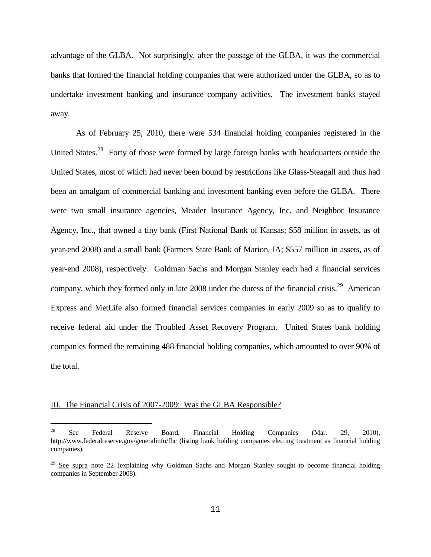advantage of the GLBA. Not surprisingly, after the passage of the GLBA, it was the commercial banks that formed the financial holding companies that were authorized under the GLBA, so as to undertake investment banking and insurance company activities. The investment banks stayed away.

As of February 25, 2010, there were 534 financial holding companies registered in the United States.<sup>28</sup> Forty of those were formed by large foreign banks with headquarters outside the United States, most of which had never been bound by restrictions like Glass-Steagall and thus had been an amalgam of commercial banking and investment banking even before the GLBA. There were two small insurance agencies, Meader Insurance Agency, Inc. and Neighbor Insurance Agency, Inc., that owned a tiny bank (First National Bank of Kansas; \$58 million in assets, as of year-end 2008) and a small bank (Farmers State Bank of Marion, IA; \$557 million in assets, as of year-end 2008), respectively. Goldman Sachs and Morgan Stanley each had a financial services company, which they formed only in late  $2008$  under the duress of the financial crisis.<sup>[29](#page-10-1)</sup> American Express and MetLife also formed financial services companies in early 2009 so as to qualify to receive federal aid under the Troubled Asset Recovery Program. United States bank holding companies formed the remaining 488 financial holding companies, which amounted to over 90% of the total.

#### III. The Financial Crisis of 2007-2009: Was the GLBA Responsible?

<span id="page-10-0"></span> $\frac{28}{28}$  See Federal Reserve Board, Financial Holding Companies (Mar. 29, 2010), http://www.federalreserve.gov/generalinfo/fhc (listing bank holding companies electing treatment as financial holding companies).

<span id="page-10-1"></span> $29$  See supra note 22 (explaining why Goldman Sachs and Morgan Stanley sought to become financial holding companies in September 2008).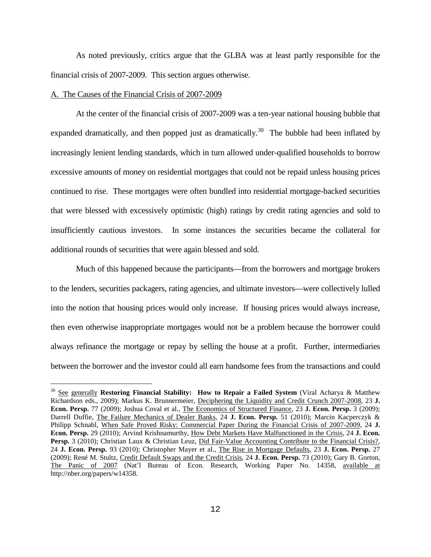As noted previously, critics argue that the GLBA was at least partly responsible for the financial crisis of 2007-2009. This section argues otherwise.

#### A. The Causes of the Financial Crisis of 2007-2009

i<br>I

At the center of the financial crisis of 2007-2009 was a ten-year national housing bubble that expanded dramatically, and then popped just as dramatically.<sup>[30](#page-11-0)</sup> The bubble had been inflated by increasingly lenient lending standards, which in turn allowed under-qualified households to borrow excessive amounts of money on residential mortgages that could not be repaid unless housing prices continued to rise. These mortgages were often bundled into residential mortgage-backed securities that were blessed with excessively optimistic (high) ratings by credit rating agencies and sold to insufficiently cautious investors. In some instances the securities became the collateral for additional rounds of securities that were again blessed and sold.

Much of this happened because the participants—from the borrowers and mortgage brokers to the lenders, securities packagers, rating agencies, and ultimate investors—were collectively lulled into the notion that housing prices would only increase. If housing prices would always increase, then even otherwise inappropriate mortgages would not be a problem because the borrower could always refinance the mortgage or repay by selling the house at a profit. Further, intermediaries between the borrower and the investor could all earn handsome fees from the transactions and could

<span id="page-11-0"></span><sup>30</sup> See generally **Restoring Financial Stability: How to Repair a Failed System** (Viral Acharya & Matthew Richardson eds., 2009); Markus K. Brunnermeier, Deciphering the Liquidity and Credit Crunch 2007-2008, 23 **J. Econ. Persp.** 77 (2009); Joshua Coval et al., The Economics of Structured Finance, 23 **J. Econ. Persp.** 3 (2009); Darrell Duffie, The Failure Mechanics of Dealer Banks, 24 **J. Econ. Persp.** 51 (2010); Marcin Kacperczyk & Philipp Schnabl, When Safe Proved Risky: Commercial Paper During the Financial Crisis of 2007-2009, 24 **J. Econ. Persp.** 29 (2010); Arvind Krishnamurthy, How Debt Markets Have Malfunctioned in the Crisis, 24 **J. Econ.**  Persp. 3 (2010); Christian Laux & Christian Leuz, Did Fair-Value Accounting Contribute to the Financial Crisis?, 24 **J. Econ. Persp.** 93 (2010); Christopher Mayer et al., The Rise in Mortgage Defaults, 23 **J. Econ. Persp.** 27 (2009); René M. Stultz, Credit Default Swaps and the Credit Crisis, 24 **J. Econ. Persp.** 73 (2010); Gary B. Gorton, The Panic of 2007 (Nat'l Bureau of Econ. Research, Working Paper No. 14358, available at http://nber.org/papers/w14358.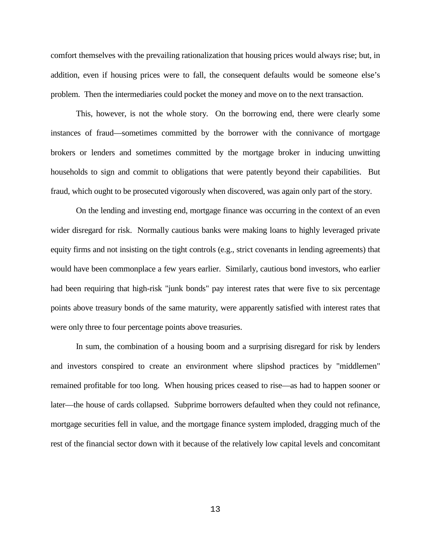comfort themselves with the prevailing rationalization that housing prices would always rise; but, in addition, even if housing prices were to fall, the consequent defaults would be someone else's problem. Then the intermediaries could pocket the money and move on to the next transaction.

This, however, is not the whole story. On the borrowing end, there were clearly some instances of fraud—sometimes committed by the borrower with the connivance of mortgage brokers or lenders and sometimes committed by the mortgage broker in inducing unwitting households to sign and commit to obligations that were patently beyond their capabilities. But fraud, which ought to be prosecuted vigorously when discovered, was again only part of the story.

On the lending and investing end, mortgage finance was occurring in the context of an even wider disregard for risk. Normally cautious banks were making loans to highly leveraged private equity firms and not insisting on the tight controls (e.g., strict covenants in lending agreements) that would have been commonplace a few years earlier. Similarly, cautious bond investors, who earlier had been requiring that high-risk "junk bonds" pay interest rates that were five to six percentage points above treasury bonds of the same maturity, were apparently satisfied with interest rates that were only three to four percentage points above treasuries.

In sum, the combination of a housing boom and a surprising disregard for risk by lenders and investors conspired to create an environment where slipshod practices by "middlemen" remained profitable for too long. When housing prices ceased to rise—as had to happen sooner or later—the house of cards collapsed. Subprime borrowers defaulted when they could not refinance, mortgage securities fell in value, and the mortgage finance system imploded, dragging much of the rest of the financial sector down with it because of the relatively low capital levels and concomitant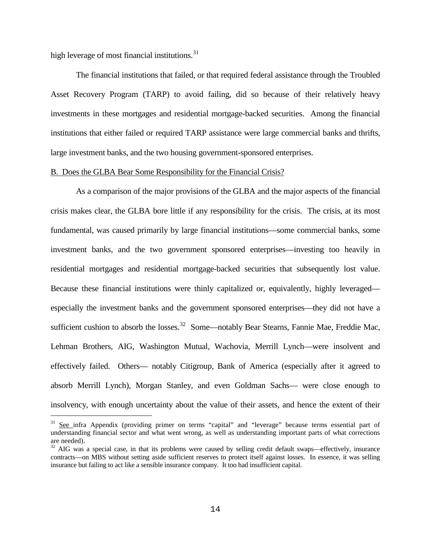high leverage of most financial institutions.<sup>[31](#page-13-0)</sup>

÷,

The financial institutions that failed, or that required federal assistance through the Troubled Asset Recovery Program (TARP) to avoid failing, did so because of their relatively heavy investments in these mortgages and residential mortgage-backed securities. Among the financial institutions that either failed or required TARP assistance were large commercial banks and thrifts, large investment banks, and the two housing government-sponsored enterprises.

## B. Does the GLBA Bear Some Responsibility for the Financial Crisis?

As a comparison of the major provisions of the GLBA and the major aspects of the financial crisis makes clear, the GLBA bore little if any responsibility for the crisis. The crisis, at its most fundamental, was caused primarily by large financial institutions—some commercial banks, some investment banks, and the two government sponsored enterprises—investing too heavily in residential mortgages and residential mortgage-backed securities that subsequently lost value. Because these financial institutions were thinly capitalized or, equivalently, highly leveraged especially the investment banks and the government sponsored enterprises—they did not have a sufficient cushion to absorb the losses.<sup>[32](#page-13-1)</sup> Some—notably Bear Stearns, Fannie Mae, Freddie Mac, Lehman Brothers, AIG, Washington Mutual, Wachovia, Merrill Lynch—were insolvent and effectively failed. Others— notably Citigroup, Bank of America (especially after it agreed to absorb Merrill Lynch), Morgan Stanley, and even Goldman Sachs— were close enough to insolvency, with enough uncertainty about the value of their assets, and hence the extent of their

<span id="page-13-0"></span><sup>&</sup>lt;sup>31</sup> See infra Appendix (providing primer on terms "capital" and "leverage" because terms essential part of understanding financial sector and what went wrong, as well as understanding important parts of what corrections are needed).

<span id="page-13-1"></span> $32$  AIG was a special case, in that its problems were caused by selling credit default swaps—effectively, insurance contracts—on MBS without setting aside sufficient reserves to protect itself against losses. In essence, it was selling insurance but failing to act like a sensible insurance company. It too had insufficient capital.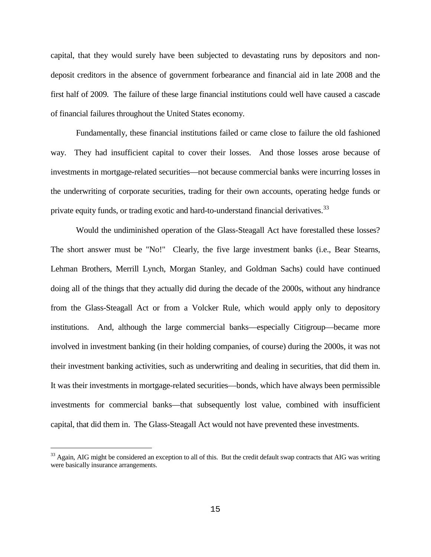capital, that they would surely have been subjected to devastating runs by depositors and nondeposit creditors in the absence of government forbearance and financial aid in late 2008 and the first half of 2009. The failure of these large financial institutions could well have caused a cascade of financial failures throughout the United States economy.

Fundamentally, these financial institutions failed or came close to failure the old fashioned way. They had insufficient capital to cover their losses. And those losses arose because of investments in mortgage-related securities—not because commercial banks were incurring losses in the underwriting of corporate securities, trading for their own accounts, operating hedge funds or private equity funds, or trading exotic and hard-to-understand financial derivatives.<sup>[33](#page-14-0)</sup>

Would the undiminished operation of the Glass-Steagall Act have forestalled these losses? The short answer must be "No!" Clearly, the five large investment banks (i.e., Bear Stearns, Lehman Brothers, Merrill Lynch, Morgan Stanley, and Goldman Sachs) could have continued doing all of the things that they actually did during the decade of the 2000s, without any hindrance from the Glass-Steagall Act or from a Volcker Rule, which would apply only to depository institutions. And, although the large commercial banks—especially Citigroup—became more involved in investment banking (in their holding companies, of course) during the 2000s, it was not their investment banking activities, such as underwriting and dealing in securities, that did them in. It was their investments in mortgage-related securities—bonds, which have always been permissible investments for commercial banks—that subsequently lost value, combined with insufficient capital, that did them in. The Glass-Steagall Act would not have prevented these investments.

<span id="page-14-0"></span><sup>&</sup>lt;sup>33</sup> Again, AIG might be considered an exception to all of this. But the credit default swap contracts that AIG was writing were basically insurance arrangements.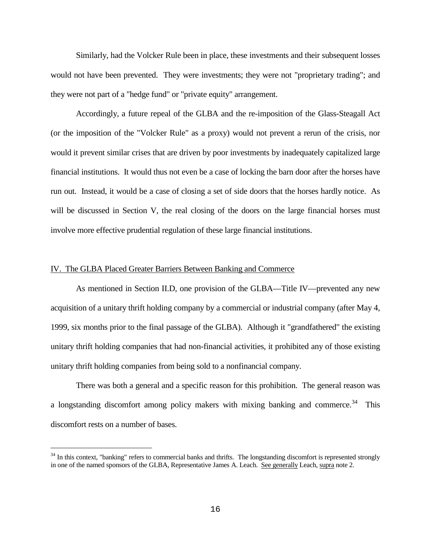Similarly, had the Volcker Rule been in place, these investments and their subsequent losses would not have been prevented. They were investments; they were not "proprietary trading"; and they were not part of a "hedge fund" or "private equity" arrangement.

Accordingly, a future repeal of the GLBA and the re-imposition of the Glass-Steagall Act (or the imposition of the "Volcker Rule" as a proxy) would not prevent a rerun of the crisis, nor would it prevent similar crises that are driven by poor investments by inadequately capitalized large financial institutions. It would thus not even be a case of locking the barn door after the horses have run out. Instead, it would be a case of closing a set of side doors that the horses hardly notice. As will be discussed in Section V, the real closing of the doors on the large financial horses must involve more effective prudential regulation of these large financial institutions.

## IV. The GLBA Placed Greater Barriers Between Banking and Commerce

i<br>I

As mentioned in Section II.D, one provision of the GLBA—Title IV—prevented any new acquisition of a unitary thrift holding company by a commercial or industrial company (after May 4, 1999, six months prior to the final passage of the GLBA). Although it "grandfathered" the existing unitary thrift holding companies that had non-financial activities, it prohibited any of those existing unitary thrift holding companies from being sold to a nonfinancial company.

There was both a general and a specific reason for this prohibition. The general reason was a longstanding discomfort among policy makers with mixing banking and commerce.<sup>[34](#page-15-0)</sup> This discomfort rests on a number of bases.

<span id="page-15-0"></span><sup>&</sup>lt;sup>34</sup> In this context, "banking" refers to commercial banks and thrifts. The longstanding discomfort is represented strongly in one of the named sponsors of the GLBA, Representative James A. Leach. See generally Leach, supra note [2.](#page-1-4)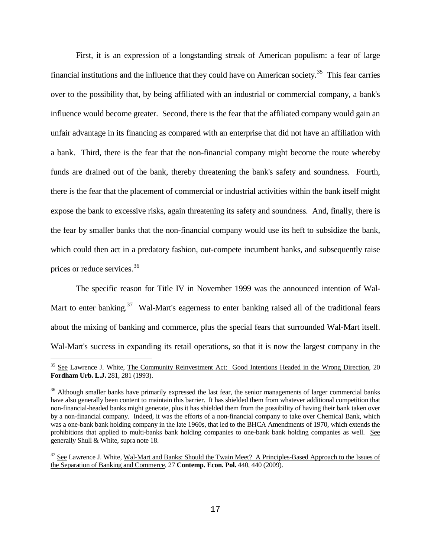<span id="page-16-3"></span>First, it is an expression of a longstanding streak of American populism: a fear of large financial institutions and the influence that they could have on American society.<sup>35</sup> This fear carries over to the possibility that, by being affiliated with an industrial or commercial company, a bank's influence would become greater. Second, there is the fear that the affiliated company would gain an unfair advantage in its financing as compared with an enterprise that did not have an affiliation with a bank. Third, there is the fear that the non-financial company might become the route whereby funds are drained out of the bank, thereby threatening the bank's safety and soundness. Fourth, there is the fear that the placement of commercial or industrial activities within the bank itself might expose the bank to excessive risks, again threatening its safety and soundness. And, finally, there is the fear by smaller banks that the non-financial company would use its heft to subsidize the bank, which could then act in a predatory fashion, out-compete incumbent banks, and subsequently raise prices or reduce services.[36](#page-16-1)

The specific reason for Title IV in November 1999 was the announced intention of Wal-Mart to enter banking.<sup>[37](#page-16-2)</sup> Wal-Mart's eagerness to enter banking raised all of the traditional fears about the mixing of banking and commerce, plus the special fears that surrounded Wal-Mart itself. Wal-Mart's success in expanding its retail operations, so that it is now the largest company in the

<span id="page-16-0"></span><sup>&</sup>lt;sup>35</sup> See Lawrence J. White, The Community Reinvestment Act: Good Intentions Headed in the Wrong Direction, 20 **Fordham Urb. L.J.** 281, 281 (1993).

<span id="page-16-1"></span><sup>&</sup>lt;sup>36</sup> Although smaller banks have primarily expressed the last fear, the senior managements of larger commercial banks have also generally been content to maintain this barrier. It has shielded them from whatever additional competition that non-financial-headed banks might generate, plus it has shielded them from the possibility of having their bank taken over by a non-financial company. Indeed, it was the efforts of a non-financial company to take over Chemical Bank, which was a one-bank bank holding company in the late 1960s, that led to the BHCA Amendments of 1970, which extends the prohibitions that applied to multi-banks bank holding companies to one-bank bank holding companies as well. See generally Shull & White, supra not[e 18.](#page-7-4)

<span id="page-16-2"></span><sup>&</sup>lt;sup>37</sup> See Lawrence J. White, Wal-Mart and Banks: Should the Twain Meet? A Principles-Based Approach to the Issues of the Separation of Banking and Commerce, 27 **Contemp. Econ. Pol.** 440, 440 (2009).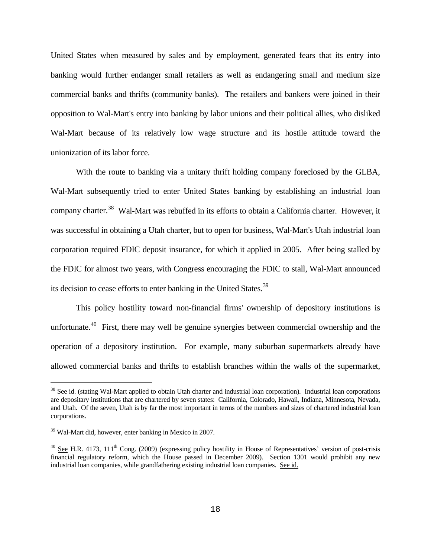United States when measured by sales and by employment, generated fears that its entry into banking would further endanger small retailers as well as endangering small and medium size commercial banks and thrifts (community banks). The retailers and bankers were joined in their opposition to Wal-Mart's entry into banking by labor unions and their political allies, who disliked Wal-Mart because of its relatively low wage structure and its hostile attitude toward the unionization of its labor force.

With the route to banking via a unitary thrift holding company foreclosed by the GLBA, Wal-Mart subsequently tried to enter United States banking by establishing an industrial loan company charter.<sup>38</sup> Wal-Mart was rebuffed in its efforts to obtain a California charter. However, it was successful in obtaining a Utah charter, but to open for business, Wal-Mart's Utah industrial loan corporation required FDIC deposit insurance, for which it applied in 2005. After being stalled by the FDIC for almost two years, with Congress encouraging the FDIC to stall, Wal-Mart announced its decision to cease efforts to enter banking in the United States.<sup>[39](#page-17-1)</sup>

<span id="page-17-3"></span>This policy hostility toward non-financial firms' ownership of depository institutions is unfortunate.<sup>[40](#page-17-2)</sup> First, there may well be genuine synergies between commercial ownership and the operation of a depository institution. For example, many suburban supermarkets already have allowed commercial banks and thrifts to establish branches within the walls of the supermarket,

<span id="page-17-0"></span><sup>&</sup>lt;sup>38</sup> See id. (stating Wal-Mart applied to obtain Utah charter and industrial loan corporation). Industrial loan corporations are depositary institutions that are chartered by seven states: California, Colorado, Hawaii, Indiana, Minnesota, Nevada, and Utah. Of the seven, Utah is by far the most important in terms of the numbers and sizes of chartered industrial loan corporations.

<span id="page-17-1"></span><sup>&</sup>lt;sup>39</sup> Wal-Mart did, however, enter banking in Mexico in 2007.

<span id="page-17-2"></span> $40$  See H.R. 4173, 111<sup>th</sup> Cong. (2009) (expressing policy hostility in House of Representatives' version of post-crisis financial regulatory reform, which the House passed in December 2009). Section 1301 would prohibit any new industrial loan companies, while grandfathering existing industrial loan companies. See id.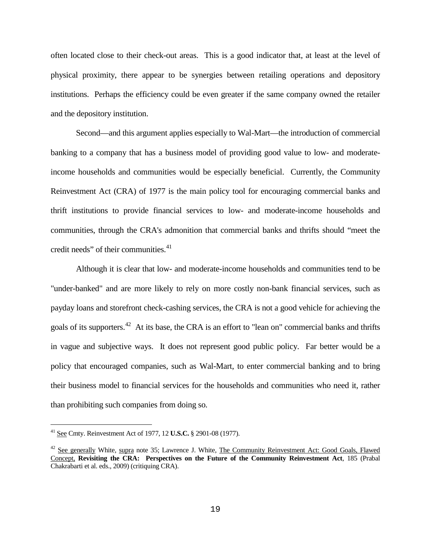often located close to their check-out areas. This is a good indicator that, at least at the level of physical proximity, there appear to be synergies between retailing operations and depository institutions. Perhaps the efficiency could be even greater if the same company owned the retailer and the depository institution.

Second—and this argument applies especially to Wal-Mart—the introduction of commercial banking to a company that has a business model of providing good value to low- and moderateincome households and communities would be especially beneficial. Currently, the Community Reinvestment Act (CRA) of 1977 is the main policy tool for encouraging commercial banks and thrift institutions to provide financial services to low- and moderate-income households and communities, through the CRA's admonition that commercial banks and thrifts should "meet the credit needs" of their communities. $41$ 

Although it is clear that low- and moderate-income households and communities tend to be "under-banked" and are more likely to rely on more costly non-bank financial services, such as payday loans and storefront check-cashing services, the CRA is not a good vehicle for achieving the goals of its supporters.<sup>[42](#page-18-1)</sup> At its base, the CRA is an effort to "lean on" commercial banks and thrifts in vague and subjective ways. It does not represent good public policy. Far better would be a policy that encouraged companies, such as Wal-Mart, to enter commercial banking and to bring their business model to financial services for the households and communities who need it, rather than prohibiting such companies from doing so.

<span id="page-18-0"></span><sup>41</sup> See Cmty. Reinvestment Act of 1977, 12 **U.S.C.** § 2901-08 (1977).

<span id="page-18-1"></span><sup>&</sup>lt;sup>42</sup> See generally White, supra note [35;](#page-16-3) Lawrence J. White, The Community Reinvestment Act: Good Goals, Flawed Concept, **Revisiting the CRA: Perspectives on the Future of the Community Reinvestment Act**, 185 (Prabal Chakrabarti et al. eds., 2009) (critiquing CRA).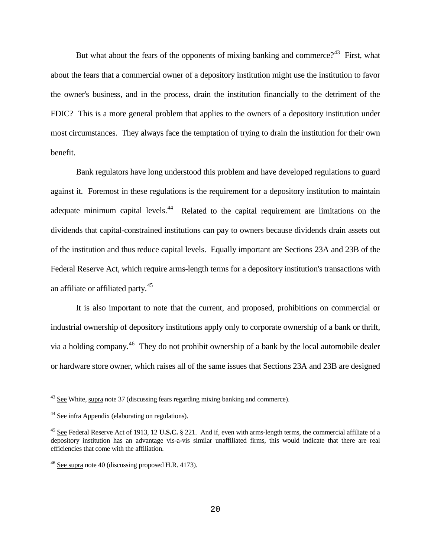But what about the fears of the opponents of mixing banking and commerce?<sup>[43](#page-19-0)</sup> First, what about the fears that a commercial owner of a depository institution might use the institution to favor the owner's business, and in the process, drain the institution financially to the detriment of the FDIC? This is a more general problem that applies to the owners of a depository institution under most circumstances. They always face the temptation of trying to drain the institution for their own benefit.

Bank regulators have long understood this problem and have developed regulations to guard against it. Foremost in these regulations is the requirement for a depository institution to maintain adequate minimum capital levels.<sup>[44](#page-19-1)</sup> Related to the capital requirement are limitations on the dividends that capital-constrained institutions can pay to owners because dividends drain assets out of the institution and thus reduce capital levels. Equally important are Sections 23A and 23B of the Federal Reserve Act, which require arms-length terms for a depository institution's transactions with an affiliate or affiliated party.<sup>[45](#page-19-2)</sup>

It is also important to note that the current, and proposed, prohibitions on commercial or industrial ownership of depository institutions apply only to corporate ownership of a bank or thrift, via a holding company.<sup>[46](#page-19-3)</sup> They do not prohibit ownership of a bank by the local automobile dealer or hardware store owner, which raises all of the same issues that Sections 23A and 23B are designed

<span id="page-19-0"></span> $43$  See White, supra note 37 (discussing fears regarding mixing banking and commerce).

<span id="page-19-1"></span><sup>&</sup>lt;sup>44</sup> See infra Appendix (elaborating on regulations).

<span id="page-19-2"></span><sup>45</sup> See Federal Reserve Act of 1913, 12 **U.S.C.** § 221. And if, even with arms-length terms, the commercial affiliate of a depository institution has an advantage vis-a-vis similar unaffiliated firms, this would indicate that there are real efficiencies that come with the affiliation.

<span id="page-19-3"></span><sup>46</sup> See supra not[e 40](#page-17-3) (discussing proposed H.R. 4173).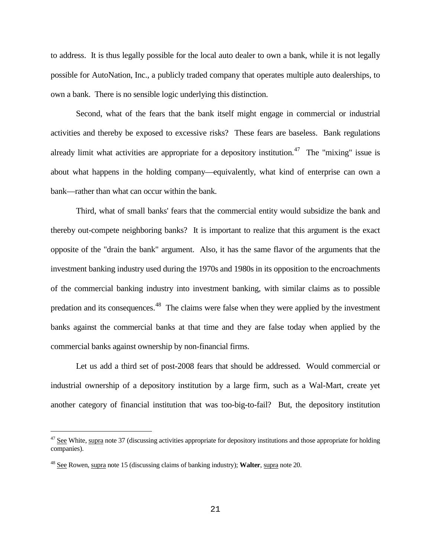to address. It is thus legally possible for the local auto dealer to own a bank, while it is not legally possible for AutoNation, Inc., a publicly traded company that operates multiple auto dealerships, to own a bank. There is no sensible logic underlying this distinction.

Second, what of the fears that the bank itself might engage in commercial or industrial activities and thereby be exposed to excessive risks? These fears are baseless. Bank regulations already limit what activities are appropriate for a depository institution.<sup>[47](#page-20-0)</sup> The "mixing" issue is about what happens in the holding company—equivalently, what kind of enterprise can own a bank—rather than what can occur within the bank.

Third, what of small banks' fears that the commercial entity would subsidize the bank and thereby out-compete neighboring banks? It is important to realize that this argument is the exact opposite of the "drain the bank" argument. Also, it has the same flavor of the arguments that the investment banking industry used during the 1970s and 1980s in its opposition to the encroachments of the commercial banking industry into investment banking, with similar claims as to possible predation and its consequences.<sup>[48](#page-20-1)</sup> The claims were false when they were applied by the investment banks against the commercial banks at that time and they are false today when applied by the commercial banks against ownership by non-financial firms.

Let us add a third set of post-2008 fears that should be addressed. Would commercial or industrial ownership of a depository institution by a large firm, such as a Wal-Mart, create yet another category of financial institution that was too-big-to-fail? But, the depository institution

<span id="page-20-0"></span> $47$  See White, supra note 37 (discussing activities appropriate for depository institutions and those appropriate for holding companies).

<span id="page-20-1"></span><sup>48</sup> See Rowen, supra not[e 15](#page-5-2) (discussing claims of banking industry); **Walter**, supra not[e 20.](#page-7-3)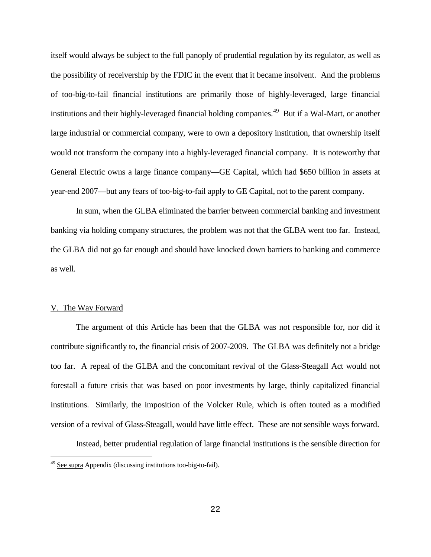itself would always be subject to the full panoply of prudential regulation by its regulator, as well as the possibility of receivership by the FDIC in the event that it became insolvent. And the problems of too-big-to-fail financial institutions are primarily those of highly-leveraged, large financial institutions and their highly-leveraged financial holding companies.<sup>[49](#page-21-0)</sup> But if a Wal-Mart, or another large industrial or commercial company, were to own a depository institution, that ownership itself would not transform the company into a highly-leveraged financial company. It is noteworthy that General Electric owns a large finance company—GE Capital, which had \$650 billion in assets at year-end 2007—but any fears of too-big-to-fail apply to GE Capital, not to the parent company.

In sum, when the GLBA eliminated the barrier between commercial banking and investment banking via holding company structures, the problem was not that the GLBA went too far. Instead, the GLBA did not go far enough and should have knocked down barriers to banking and commerce as well.

#### V. The Way Forward

÷,

The argument of this Article has been that the GLBA was not responsible for, nor did it contribute significantly to, the financial crisis of 2007-2009. The GLBA was definitely not a bridge too far. A repeal of the GLBA and the concomitant revival of the Glass-Steagall Act would not forestall a future crisis that was based on poor investments by large, thinly capitalized financial institutions. Similarly, the imposition of the Volcker Rule, which is often touted as a modified version of a revival of Glass-Steagall, would have little effect. These are not sensible ways forward.

Instead, better prudential regulation of large financial institutions is the sensible direction for

<span id="page-21-0"></span><sup>&</sup>lt;sup>49</sup> See supra Appendix (discussing institutions too-big-to-fail).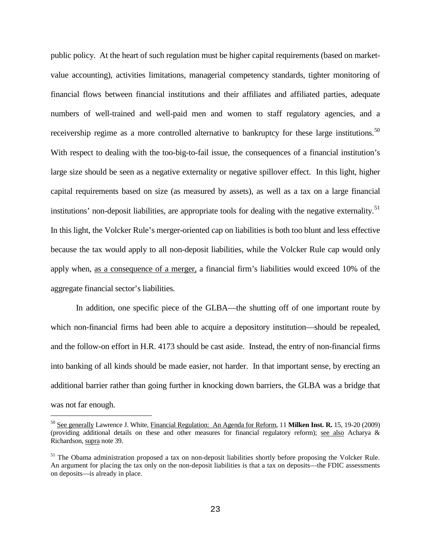public policy. At the heart of such regulation must be higher capital requirements (based on marketvalue accounting), activities limitations, managerial competency standards, tighter monitoring of financial flows between financial institutions and their affiliates and affiliated parties, adequate numbers of well-trained and well-paid men and women to staff regulatory agencies, and a receivership regime as a more controlled alternative to bankruptcy for these large institutions.<sup>[50](#page-22-0)</sup> With respect to dealing with the too-big-to-fail issue, the consequences of a financial institution's large size should be seen as a negative externality or negative spillover effect. In this light, higher capital requirements based on size (as measured by assets), as well as a tax on a large financial institutions' non-deposit liabilities, are appropriate tools for dealing with the negative externality.<sup>[51](#page-22-1)</sup> In this light, the Volcker Rule's merger-oriented cap on liabilities is both too blunt and less effective because the tax would apply to all non-deposit liabilities, while the Volcker Rule cap would only apply when, as a consequence of a merger, a financial firm's liabilities would exceed 10% of the aggregate financial sector's liabilities.

In addition, one specific piece of the GLBA—the shutting off of one important route by which non-financial firms had been able to acquire a depository institution—should be repealed, and the follow-on effort in H.R. 4173 should be cast aside. Instead, the entry of non-financial firms into banking of all kinds should be made easier, not harder. In that important sense, by erecting an additional barrier rather than going further in knocking down barriers, the GLBA was a bridge that was not far enough.

<span id="page-22-0"></span><sup>50</sup> See generally Lawrence J. White, Financial Regulation: An Agenda for Reform, 11 **Milken Inst. R.** 15, 19-20 (2009) (providing additional details on these and other measures for financial regulatory reform); see also Acharya & Richardson, supra note 39.

<span id="page-22-1"></span> $<sup>51</sup>$  The Obama administration proposed a tax on non-deposit liabilities shortly before proposing the Volcker Rule.</sup> An argument for placing the tax only on the non-deposit liabilities is that a tax on deposits—the FDIC assessments on deposits—is already in place.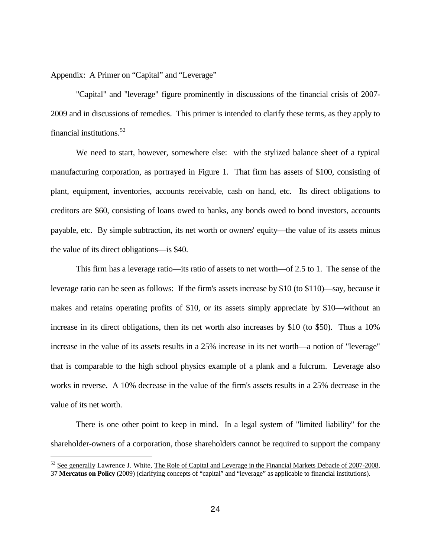## Appendix: A Primer on "Capital" and "Leverage"

i<br>I

"Capital" and "leverage" figure prominently in discussions of the financial crisis of 2007- 2009 and in discussions of remedies. This primer is intended to clarify these terms, as they apply to financial institutions.[52](#page-23-0)

We need to start, however, somewhere else: with the stylized balance sheet of a typical manufacturing corporation, as portrayed in Figure 1. That firm has assets of \$100, consisting of plant, equipment, inventories, accounts receivable, cash on hand, etc. Its direct obligations to creditors are \$60, consisting of loans owed to banks, any bonds owed to bond investors, accounts payable, etc. By simple subtraction, its net worth or owners' equity—the value of its assets minus the value of its direct obligations—is \$40.

This firm has a leverage ratio—its ratio of assets to net worth—of 2.5 to 1. The sense of the leverage ratio can be seen as follows: If the firm's assets increase by \$10 (to \$110)—say, because it makes and retains operating profits of \$10, or its assets simply appreciate by \$10—without an increase in its direct obligations, then its net worth also increases by \$10 (to \$50). Thus a 10% increase in the value of its assets results in a 25% increase in its net worth—a notion of "leverage" that is comparable to the high school physics example of a plank and a fulcrum. Leverage also works in reverse. A 10% decrease in the value of the firm's assets results in a 25% decrease in the value of its net worth.

There is one other point to keep in mind. In a legal system of "limited liability" for the shareholder-owners of a corporation, those shareholders cannot be required to support the company

<span id="page-23-0"></span> $52$  See generally Lawrence J. White, The Role of Capital and Leverage in the Financial Markets Debacle of 2007-2008, 37 **Mercatus on Policy** (2009) (clarifying concepts of "capital" and "leverage" as applicable to financial institutions).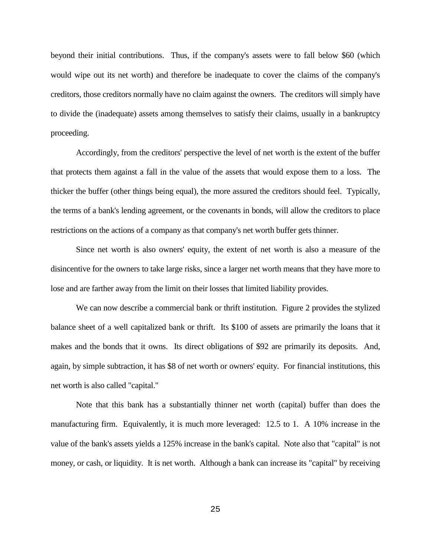beyond their initial contributions. Thus, if the company's assets were to fall below \$60 (which would wipe out its net worth) and therefore be inadequate to cover the claims of the company's creditors, those creditors normally have no claim against the owners. The creditors will simply have to divide the (inadequate) assets among themselves to satisfy their claims, usually in a bankruptcy proceeding.

Accordingly, from the creditors' perspective the level of net worth is the extent of the buffer that protects them against a fall in the value of the assets that would expose them to a loss. The thicker the buffer (other things being equal), the more assured the creditors should feel. Typically, the terms of a bank's lending agreement, or the covenants in bonds, will allow the creditors to place restrictions on the actions of a company as that company's net worth buffer gets thinner.

Since net worth is also owners' equity, the extent of net worth is also a measure of the disincentive for the owners to take large risks, since a larger net worth means that they have more to lose and are farther away from the limit on their losses that limited liability provides.

We can now describe a commercial bank or thrift institution. Figure 2 provides the stylized balance sheet of a well capitalized bank or thrift. Its \$100 of assets are primarily the loans that it makes and the bonds that it owns. Its direct obligations of \$92 are primarily its deposits. And, again, by simple subtraction, it has \$8 of net worth or owners' equity. For financial institutions, this net worth is also called "capital."

Note that this bank has a substantially thinner net worth (capital) buffer than does the manufacturing firm. Equivalently, it is much more leveraged: 12.5 to 1. A 10% increase in the value of the bank's assets yields a 125% increase in the bank's capital. Note also that "capital" is not money, or cash, or liquidity. It is net worth. Although a bank can increase its "capital" by receiving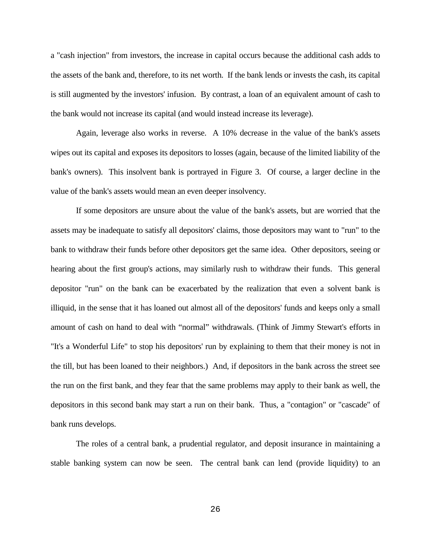a "cash injection" from investors, the increase in capital occurs because the additional cash adds to the assets of the bank and, therefore, to its net worth. If the bank lends or invests the cash, its capital is still augmented by the investors' infusion. By contrast, a loan of an equivalent amount of cash to the bank would not increase its capital (and would instead increase its leverage).

Again, leverage also works in reverse. A 10% decrease in the value of the bank's assets wipes out its capital and exposes its depositors to losses (again, because of the limited liability of the bank's owners). This insolvent bank is portrayed in Figure 3. Of course, a larger decline in the value of the bank's assets would mean an even deeper insolvency.

If some depositors are unsure about the value of the bank's assets, but are worried that the assets may be inadequate to satisfy all depositors' claims, those depositors may want to "run" to the bank to withdraw their funds before other depositors get the same idea. Other depositors, seeing or hearing about the first group's actions, may similarly rush to withdraw their funds. This general depositor "run" on the bank can be exacerbated by the realization that even a solvent bank is illiquid, in the sense that it has loaned out almost all of the depositors' funds and keeps only a small amount of cash on hand to deal with "normal" withdrawals. (Think of Jimmy Stewart's efforts in "It's a Wonderful Life" to stop his depositors' run by explaining to them that their money is not in the till, but has been loaned to their neighbors.) And, if depositors in the bank across the street see the run on the first bank, and they fear that the same problems may apply to their bank as well, the depositors in this second bank may start a run on their bank. Thus, a "contagion" or "cascade" of bank runs develops.

The roles of a central bank, a prudential regulator, and deposit insurance in maintaining a stable banking system can now be seen. The central bank can lend (provide liquidity) to an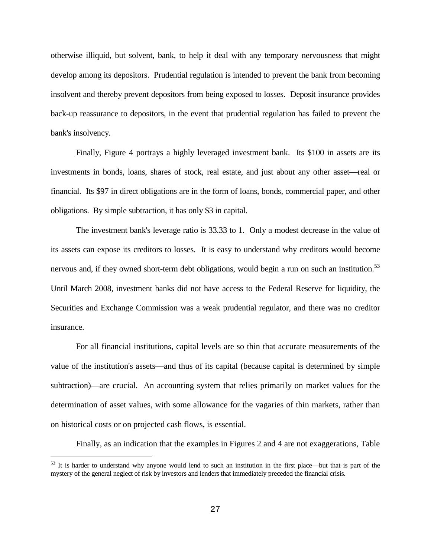otherwise illiquid, but solvent, bank, to help it deal with any temporary nervousness that might develop among its depositors. Prudential regulation is intended to prevent the bank from becoming insolvent and thereby prevent depositors from being exposed to losses. Deposit insurance provides back-up reassurance to depositors, in the event that prudential regulation has failed to prevent the bank's insolvency.

Finally, Figure 4 portrays a highly leveraged investment bank. Its \$100 in assets are its investments in bonds, loans, shares of stock, real estate, and just about any other asset—real or financial. Its \$97 in direct obligations are in the form of loans, bonds, commercial paper, and other obligations. By simple subtraction, it has only \$3 in capital.

The investment bank's leverage ratio is 33.33 to 1. Only a modest decrease in the value of its assets can expose its creditors to losses. It is easy to understand why creditors would become nervous and, if they owned short-term debt obligations, would begin a run on such an institution.<sup>[53](#page-26-0)</sup> Until March 2008, investment banks did not have access to the Federal Reserve for liquidity, the Securities and Exchange Commission was a weak prudential regulator, and there was no creditor insurance.

For all financial institutions, capital levels are so thin that accurate measurements of the value of the institution's assets—and thus of its capital (because capital is determined by simple subtraction)—are crucial. An accounting system that relies primarily on market values for the determination of asset values, with some allowance for the vagaries of thin markets, rather than on historical costs or on projected cash flows, is essential.

Finally, as an indication that the examples in Figures 2 and 4 are not exaggerations, Table

<span id="page-26-0"></span> $53$  It is harder to understand why anyone would lend to such an institution in the first place—but that is part of the mystery of the general neglect of risk by investors and lenders that immediately preceded the financial crisis.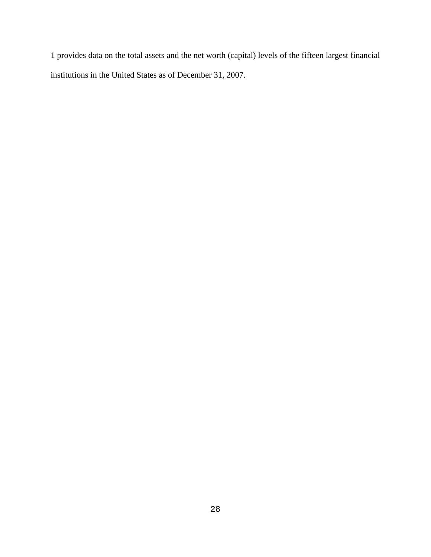1 provides data on the total assets and the net worth (capital) levels of the fifteen largest financial institutions in the United States as of December 31, 2007.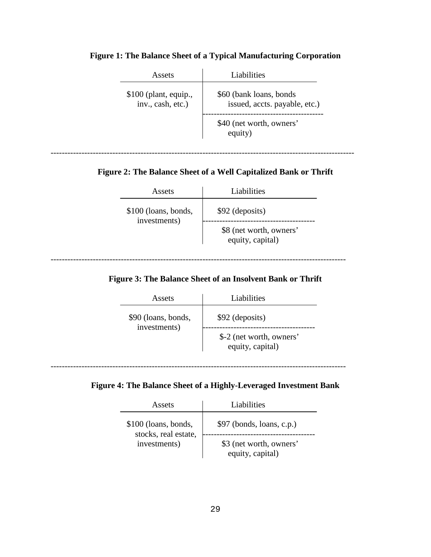| Assets                                      | Liabilities                                               |
|---------------------------------------------|-----------------------------------------------------------|
| $$100$ (plant, equip.,<br>inv., cash, etc.) | \$60 (bank loans, bonds)<br>issued, accts. payable, etc.) |
|                                             | \$40 (net worth, owners'<br>equity)                       |

# **Figure 1: The Balance Sheet of a Typical Manufacturing Corporation**

# **Figure 2: The Balance Sheet of a Well Capitalized Bank or Thrift**

------------------------------------------------------------------------------------------------------------

| Assets                               | Liabilities                                 |
|--------------------------------------|---------------------------------------------|
| \$100 (loans, bonds,<br>investments) | \$92 (deposits)                             |
|                                      | \$8 (net worth, owners'<br>equity, capital) |

# **Figure 3: The Balance Sheet of an Insolvent Bank or Thrift**

---------------------------------------------------------------------------------------------------------

| Assets                              | Liabilities                                                     |
|-------------------------------------|-----------------------------------------------------------------|
| \$90 (loans, bonds,<br>investments) | \$92 (deposits)<br>\$-2 (net worth, owners'<br>equity, capital) |

---------------------------------------------------------------------------------------------------------

# **Figure 4: The Balance Sheet of a Highly-Leveraged Investment Bank**

| Assets                                                       | Liabilities                                 |  |
|--------------------------------------------------------------|---------------------------------------------|--|
| \$100 (loans, bonds,<br>stocks, real estate,<br>investments) | $$97$ (bonds, loans, c.p.)                  |  |
|                                                              | \$3 (net worth, owners'<br>equity, capital) |  |